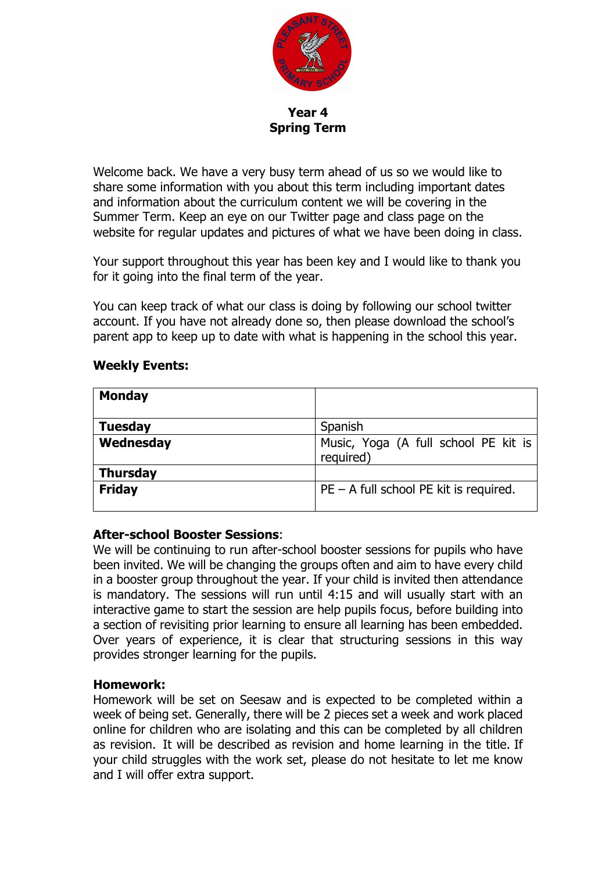

**Year 4 Spring Term**

Welcome back. We have a very busy term ahead of us so we would like to share some information with you about this term including important dates and information about the curriculum content we will be covering in the Summer Term. Keep an eye on our Twitter page and class page on the website for regular updates and pictures of what we have been doing in class.

Your support throughout this year has been key and I would like to thank you for it going into the final term of the year.

You can keep track of what our class is doing by following our school twitter account. If you have not already done so, then please download the school's parent app to keep up to date with what is happening in the school this year.

#### **Weekly Events:**

| <b>Monday</b>   |                                                   |
|-----------------|---------------------------------------------------|
| <b>Tuesday</b>  | Spanish                                           |
| Wednesday       | Music, Yoga (A full school PE kit is<br>required) |
| <b>Thursday</b> |                                                   |
| <b>Friday</b>   | $PE - A$ full school PE kit is required.          |

# **After-school Booster Sessions**:

We will be continuing to run after-school booster sessions for pupils who have been invited. We will be changing the groups often and aim to have every child in a booster group throughout the year. If your child is invited then attendance is mandatory. The sessions will run until 4:15 and will usually start with an interactive game to start the session are help pupils focus, before building into a section of revisiting prior learning to ensure all learning has been embedded. Over years of experience, it is clear that structuring sessions in this way provides stronger learning for the pupils.

#### **Homework:**

Homework will be set on Seesaw and is expected to be completed within a week of being set. Generally, there will be 2 pieces set a week and work placed online for children who are isolating and this can be completed by all children as revision.  It will be described as revision and home learning in the title.  If your child struggles with the work set, please do not hesitate to let me know and I will offer extra support.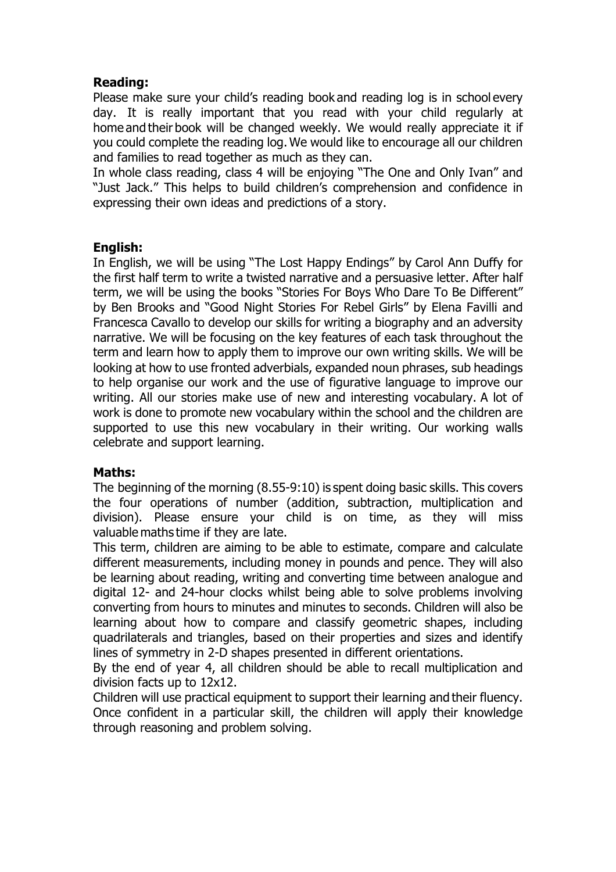## **Reading:**

Please make sure your child's reading book and reading log is in school every day.  It is really important that you read with your child regularly at home and their book will be changed weekly. We would really appreciate it if you could complete the reading log. We would like to encourage all our children and families to read together as much as they can. 

In whole class reading, class 4 will be enjoying "The One and Only Ivan" and "Just Jack." This helps to build children's comprehension and confidence in expressing their own ideas and predictions of a story. 

### **English:**

In English, we will be using "The Lost Happy Endings" by Carol Ann Duffy for the first half term to write a twisted narrative and a persuasive letter. After half term, we will be using the books "Stories For Boys Who Dare To Be Different" by Ben Brooks and "Good Night Stories For Rebel Girls" by Elena Favilli and Francesca Cavallo to develop our skills for writing a biography and an adversity narrative. We will be focusing on the key features of each task throughout the term and learn how to apply them to improve our own writing skills. We will be looking at how to use fronted adverbials, expanded noun phrases, sub headings to help organise our work and the use of figurative language to improve our writing. All our stories make use of new and interesting vocabulary. A lot of work is done to promote new vocabulary within the school and the children are supported to use this new vocabulary in their writing. Our working walls celebrate and support learning.

#### **Maths:**

The beginning of the morning (8.55-9:10) is spent doing basic skills. This covers the four operations of number (addition, subtraction, multiplication and division). Please ensure your child is on time, as they will miss valuable maths time if they are late. 

This term, children are aiming to be able to estimate, compare and calculate different measurements, including money in pounds and pence. They will also be learning about reading, writing and converting time between analogue and digital 12- and 24-hour clocks whilst being able to solve problems involving converting from hours to minutes and minutes to seconds. Children will also be learning about how to compare and classify geometric shapes, including quadrilaterals and triangles, based on their properties and sizes and identify lines of symmetry in 2-D shapes presented in different orientations.

By the end of year 4, all children should be able to recall multiplication and division facts up to 12x12.

Children will use practical equipment to support their learning and their fluency. Once confident in a particular skill, the children will apply their knowledge through reasoning and problem solving.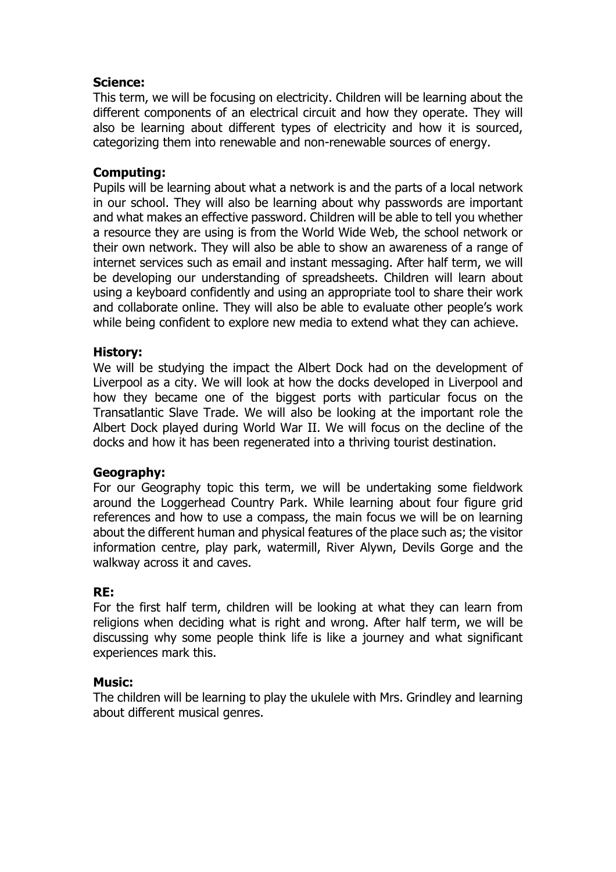## **Science:**

This term, we will be focusing on electricity. Children will be learning about the different components of an electrical circuit and how they operate. They will also be learning about different types of electricity and how it is sourced, categorizing them into renewable and non-renewable sources of energy.

## **Computing:**

Pupils will be learning about what a network is and the parts of a local network in our school. They will also be learning about why passwords are important and what makes an effective password. Children will be able to tell you whether a resource they are using is from the World Wide Web, the school network or their own network. They will also be able to show an awareness of a range of internet services such as email and instant messaging. After half term, we will be developing our understanding of spreadsheets. Children will learn about using a keyboard confidently and using an appropriate tool to share their work and collaborate online. They will also be able to evaluate other people's work while being confident to explore new media to extend what they can achieve.

#### **History:**

We will be studying the impact the Albert Dock had on the development of Liverpool as a city. We will look at how the docks developed in Liverpool and how they became one of the biggest ports with particular focus on the Transatlantic Slave Trade. We will also be looking at the important role the Albert Dock played during World War II. We will focus on the decline of the docks and how it has been regenerated into a thriving tourist destination.

#### **Geography:**

For our Geography topic this term, we will be undertaking some fieldwork around the Loggerhead Country Park. While learning about four figure grid references and how to use a compass, the main focus we will be on learning about the different human and physical features of the place such as; the visitor information centre, play park, watermill, River Alywn, Devils Gorge and the walkway across it and caves.

#### **RE:**

For the first half term, children will be looking at what they can learn from religions when deciding what is right and wrong. After half term, we will be discussing why some people think life is like a journey and what significant experiences mark this.

#### **Music:**

The children will be learning to play the ukulele with Mrs. Grindley and learning about different musical genres.